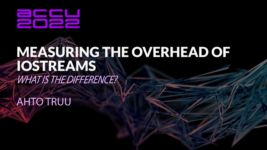

## MEASURING THE OVERHEAD OF **TOSTREAMS WHATIS THE DIFFERENCE?**

**AHTO TRUU**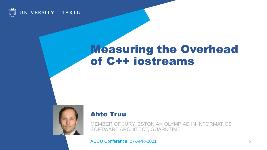

### Measuring the Overhead of C++ iostreams



#### Ahto Truu

MEMBER OF JURY, ESTONIAN OLYMPIAD IN INFORMATICS SOFTWARE ARCHITECT, GUARDTIME

ACCU Conference, 07-APR-2021 2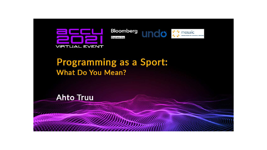

#### **Programming as a Sport: What Do You Mean?**

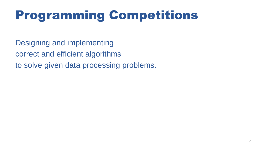### Programming Competitions

Designing and implementing correct and efficient algorithms to solve given data processing problems.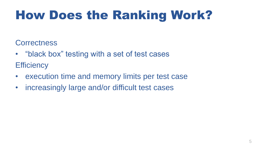### How Does the Ranking Work?

#### **Correctness**

- "black box" testing with a set of test cases **Efficiency**
- execution time and memory limits per test case
- increasingly large and/or difficult test cases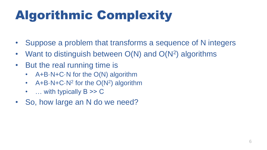### Algorithmic Complexity

- Suppose a problem that transforms a sequence of N integers
- Want to distinguish between O(N) and O(N<sup>2</sup>) algorithms
- But the real running time is
	- A+B $\cdot$ N+C $\cdot$ N for the O(N) algorithm
	- $A+B\cdot N+C\cdot N^2$  for the  $O(N^2)$  algorithm
	- $\ldots$  with typically  $B \gg C$
- So, how large an N do we need?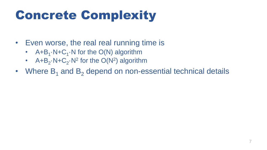### Concrete Complexity

- Even worse, the real real running time is
	- $A + B_1 \cdot N + C_1 \cdot N$  for the O(N) algorithm
	- $A + B_2 \cdot N + C_2 \cdot N^2$  for the  $O(N^2)$  algorithm
- Where  $B_1$  and  $B_2$  depend on non-essential technical details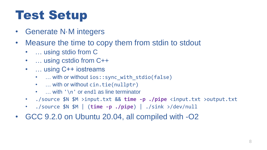### Test Setup

- Generate N·M integers
- Measure the time to copy them from stdin to stdout
	- ... using stdio from C
	- … using cstdio from C++
	- … using C++ iostreams
		- ... with or without ios::sync\_with\_stdio(false)
		- ... with or without cin.tie(nullptr)
		- $\dots$  with '\n' or endl as line terminator
	- ./source \$N \$M >input.txt && **time -p ./pipe** <input.txt >output.txt
	- ./source \$N \$M | (**time -p ./pipe**) | ./sink >/dev/null
- GCC 9.2.0 on Ubuntu 20.04, all compiled with -O2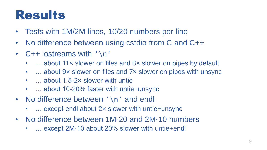### Results

- Tests with 1M/2M lines, 10/20 numbers per line
- No difference between using cstdio from C and C++
- C++ iostreams with '\n'
	- ... about 11x slower on files and 8x slower on pipes by default
	- $\dots$  about 9x slower on files and 7x slower on pipes with unsync
	- ... about 1.5-2x slower with untie
	- ... about 10-20% faster with untie+unsync
- No difference between '\n' and endl
	- $\ldots$  except endl about 2x slower with untie+unsync
- No difference between 1M·20 and 2M·10 numbers
	- ... except 2M·10 about 20% slower with untie+endl